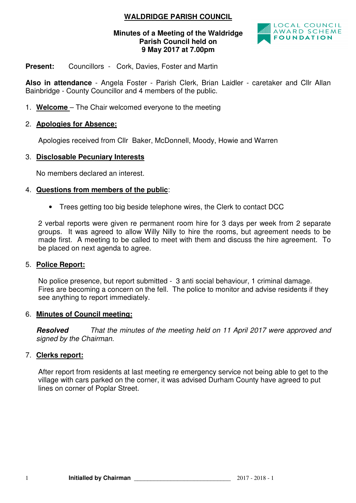# **WALDRIDGE PARISH COUNCIL**

#### **Minutes of a Meeting of the Waldridge Parish Council held on 9 May 2017 at 7.00pm**



#### **Present:** Councillors - Cork, Davies, Foster and Martin

**Also in attendance** - Angela Foster - Parish Clerk, Brian Laidler - caretaker and Cllr Allan Bainbridge - County Councillor and 4 members of the public.

1. **Welcome** – The Chair welcomed everyone to the meeting

### 2. **Apologies for Absence:**

Apologies received from Cllr Baker, McDonnell, Moody, Howie and Warren

### 3. **Disclosable Pecuniary Interests**

No members declared an interest.

#### 4. **Questions from members of the public**:

• Trees getting too big beside telephone wires, the Clerk to contact DCC

2 verbal reports were given re permanent room hire for 3 days per week from 2 separate groups. It was agreed to allow Willy Nilly to hire the rooms, but agreement needs to be made first. A meeting to be called to meet with them and discuss the hire agreement. To be placed on next agenda to agree.

#### 5. **Police Report:**

No police presence, but report submitted - 3 anti social behaviour, 1 criminal damage. Fires are becoming a concern on the fell. The police to monitor and advise residents if they see anything to report immediately.

#### 6. **Minutes of Council meeting:**

**Resolved** That the minutes of the meeting held on 11 April 2017 were approved and signed by the Chairman.

#### 7. **Clerks report:**

After report from residents at last meeting re emergency service not being able to get to the village with cars parked on the corner, it was advised Durham County have agreed to put lines on corner of Poplar Street.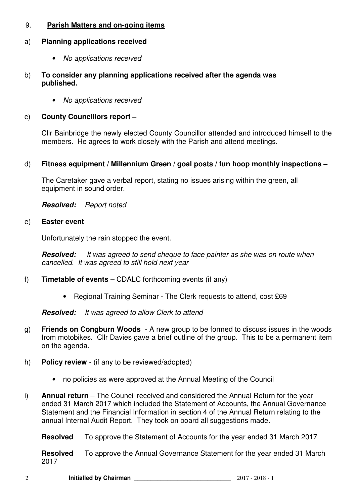# 9. **Parish Matters and on-going items**

### a) **Planning applications received**

- No applications received
- b) **To consider any planning applications received after the agenda was published.** 
	- No applications received

### c) **County Councillors report –**

Cllr Bainbridge the newly elected County Councillor attended and introduced himself to the members. He agrees to work closely with the Parish and attend meetings.

### d) **Fitness equipment / Millennium Green / goal posts / fun hoop monthly inspections –**

The Caretaker gave a verbal report, stating no issues arising within the green, all equipment in sound order.

**Resolved:** Report noted

### e) **Easter event**

Unfortunately the rain stopped the event.

**Resolved:** It was agreed to send cheque to face painter as she was on route when cancelled. It was agreed to still hold next year

- f) **Timetable of events** CDALC forthcoming events (if any)
	- Regional Training Seminar The Clerk requests to attend, cost £69

**Resolved:** It was agreed to allow Clerk to attend

- g) **Friends on Congburn Woods**  A new group to be formed to discuss issues in the woods from motobikes. Cllr Davies gave a brief outline of the group. This to be a permanent item on the agenda.
- h) **Policy review**  (if any to be reviewed/adopted)
	- no policies as were approved at the Annual Meeting of the Council
- i) **Annual return** The Council received and considered the Annual Return for the year ended 31 March 2017 which included the Statement of Accounts, the Annual Governance Statement and the Financial Information in section 4 of the Annual Return relating to the annual Internal Audit Report. They took on board all suggestions made.

**Resolved** To approve the Statement of Accounts for the year ended 31 March 2017

**Resolved** To approve the Annual Governance Statement for the year ended 31 March 2017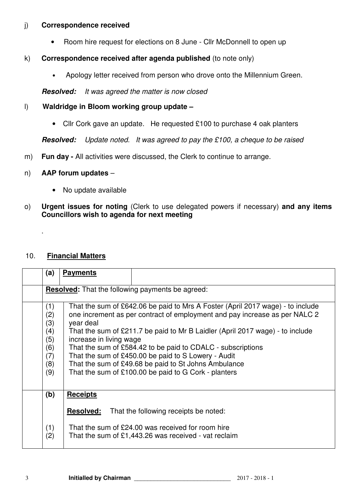### j) **Correspondence received**

• Room hire request for elections on 8 June - Cllr McDonnell to open up

# k) **Correspondence received after agenda published** (to note only)

• Apology letter received from person who drove onto the Millennium Green.

**Resolved:** It was agreed the matter is now closed

# l) **Waldridge in Bloom working group update –**

• Cllr Cork gave an update. He requested £100 to purchase 4 oak planters

**Resolved:** Update noted. It was agreed to pay the £100, a cheque to be raised

m) **Fun day -** All activities were discussed, the Clerk to continue to arrange.

# n) **AAP forum updates** –

- No update available
- o) **Urgent issues for noting** (Clerk to use delegated powers if necessary) **and any items Councillors wish to agenda for next meeting**

# 10. **Financial Matters**

.

| (a)                                                         | <b>Payments</b>                                                                                                                                                                                                                                                                                                                                                                                                                                                                                                             |  |
|-------------------------------------------------------------|-----------------------------------------------------------------------------------------------------------------------------------------------------------------------------------------------------------------------------------------------------------------------------------------------------------------------------------------------------------------------------------------------------------------------------------------------------------------------------------------------------------------------------|--|
| Resolved: That the following payments be agreed:            |                                                                                                                                                                                                                                                                                                                                                                                                                                                                                                                             |  |
| (1)<br>(2)<br>(3)<br>(4)<br>(5)<br>(6)<br>(7)<br>(8)<br>(9) | That the sum of £642.06 be paid to Mrs A Foster (April 2017 wage) - to include<br>one increment as per contract of employment and pay increase as per NALC 2<br>year deal<br>That the sum of £211.7 be paid to Mr B Laidler (April 2017 wage) - to include<br>increase in living wage<br>That the sum of £584.42 to be paid to CDALC - subscriptions<br>That the sum of £450.00 be paid to S Lowery - Audit<br>That the sum of £49.68 be paid to St Johns Ambulance<br>That the sum of £100.00 be paid to G Cork - planters |  |
| (b)                                                         | <b>Receipts</b>                                                                                                                                                                                                                                                                                                                                                                                                                                                                                                             |  |
| (1)<br>(2)                                                  | <b>Resolved:</b><br>That the following receipts be noted:<br>That the sum of £24.00 was received for room hire<br>That the sum of $£1,443.26$ was received - vat reclaim                                                                                                                                                                                                                                                                                                                                                    |  |